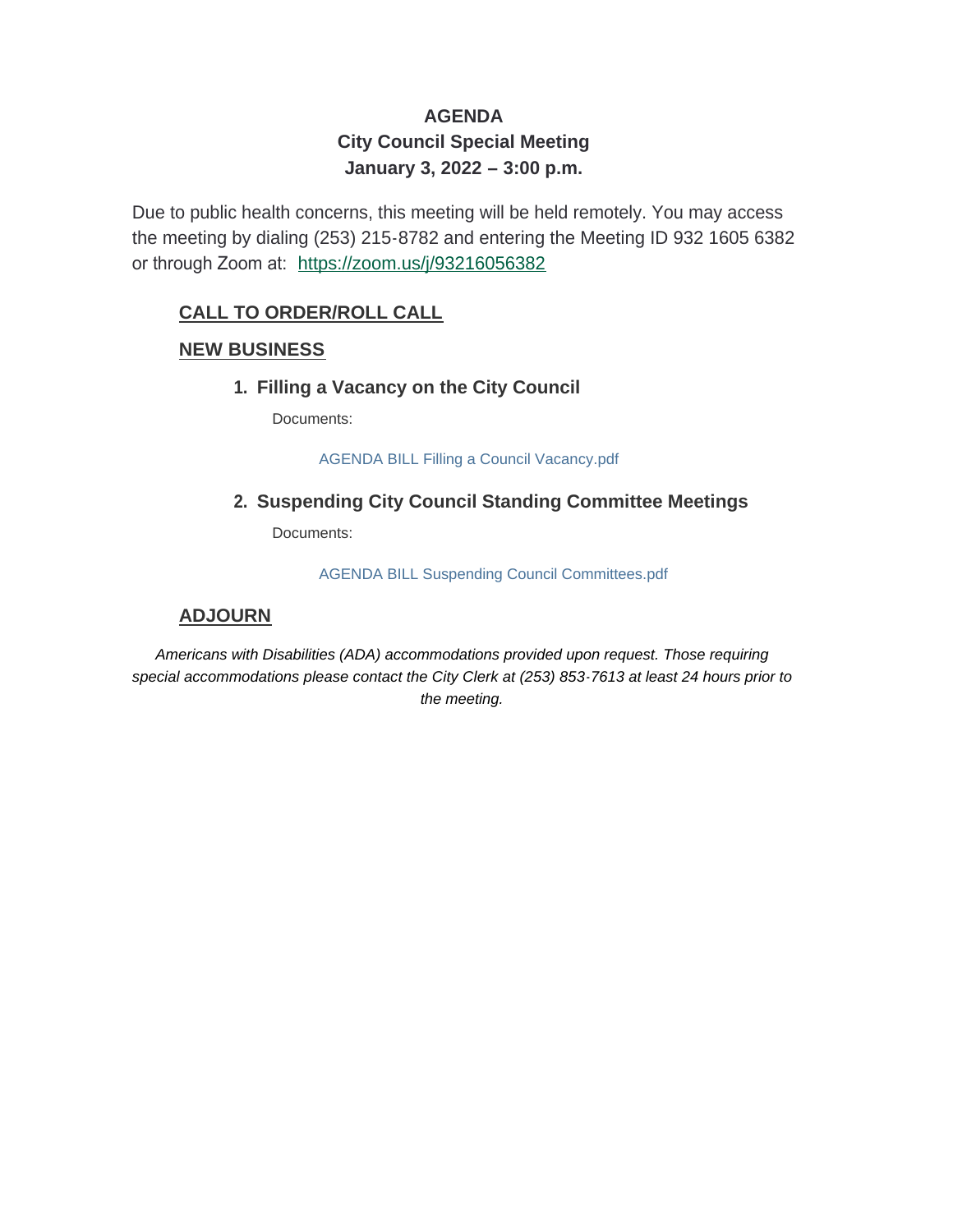# **AGENDA City Council Special Meeting January 3, 2022 – 3:00 p.m.**

Due to public health concerns, this meeting will be held remotely. You may access the meeting by dialing (253) 215-8782 and entering the Meeting ID 932 1605 6382 or through Zoom at: <https://zoom.us/j/93216056382>

# **CALL TO ORDER/ROLL CALL**

## **NEW BUSINESS**

## **Filling a Vacancy on the City Council 1.**

Documents:

AGENDA BILL Filling a Council Vacancy.pdf

## **Suspending City Council Standing Committee Meetings 2.**

Documents:

AGENDA BILL Suspending Council Committees.pdf

## **ADJOURN**

*Americans with Disabilities (ADA) accommodations provided upon request. Those requiring special accommodations please contact the City Clerk at (253) 853-7613 at least 24 hours prior to the meeting.*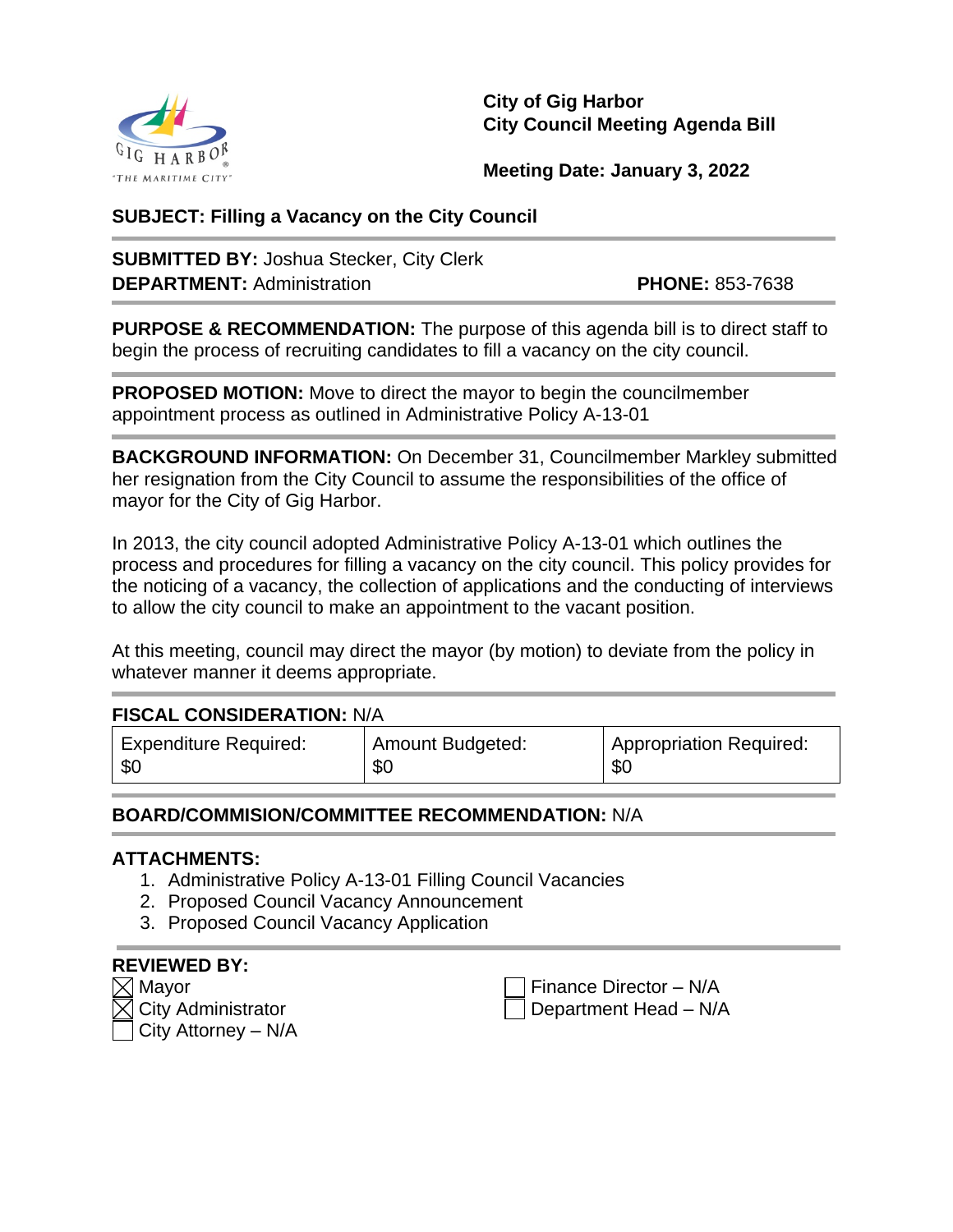

**City of Gig Harbor City Council Meeting Agenda Bill**

**Meeting Date: January 3, 2022**

## **SUBJECT: Filling a Vacancy on the City Council**

**SUBMITTED BY:** Joshua Stecker, City Clerk **DEPARTMENT:** Administration **PHONE:** 853-7638

**PURPOSE & RECOMMENDATION:** The purpose of this agenda bill is to direct staff to begin the process of recruiting candidates to fill a vacancy on the city council.

**PROPOSED MOTION:** Move to direct the mayor to begin the councilmember appointment process as outlined in Administrative Policy A-13-01

**BACKGROUND INFORMATION:** On December 31, Councilmember Markley submitted her resignation from the City Council to assume the responsibilities of the office of mayor for the City of Gig Harbor.

In 2013, the city council adopted Administrative Policy A-13-01 which outlines the process and procedures for filling a vacancy on the city council. This policy provides for the noticing of a vacancy, the collection of applications and the conducting of interviews to allow the city council to make an appointment to the vacant position.

At this meeting, council may direct the mayor (by motion) to deviate from the policy in whatever manner it deems appropriate.

# **FISCAL CONSIDERATION:** N/A

| <b>Expenditure Required:</b> | Amount Budgeted: | <sup>1</sup> Appropriation Required: |
|------------------------------|------------------|--------------------------------------|
| -\$C                         | <b>SC</b>        | \$C                                  |

## **BOARD/COMMISION/COMMITTEE RECOMMENDATION:** N/A

## **ATTACHMENTS:**

- 1. Administrative Policy A-13-01 Filling Council Vacancies
- 2. Proposed Council Vacancy Announcement
- 3. Proposed Council Vacancy Application

| <b>REVIEWED BY:</b>                       |
|-------------------------------------------|
| $\boxtimes$ Mayor                         |
| $\overline{\boxtimes}$ City Administrator |
| $\vert$ City Attorney – N/A               |

Finance Director – N/A Department Head – N/A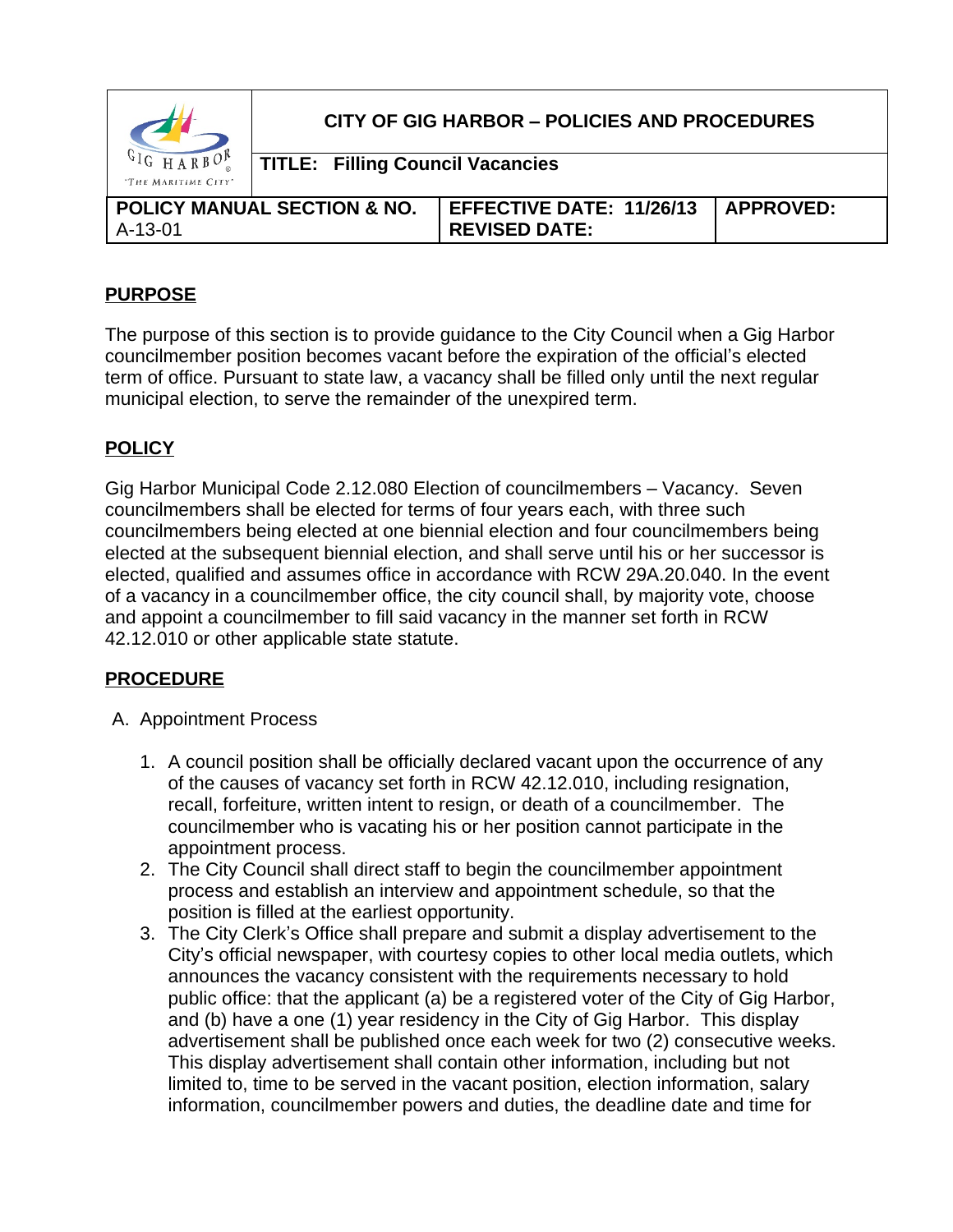|                                          | CITY OF GIG HARBOR - POLICIES AND PROCEDURES<br><b>TITLE: Filling Council Vacancies</b> |                                                         |                  |
|------------------------------------------|-----------------------------------------------------------------------------------------|---------------------------------------------------------|------------------|
| $c1$ <sup>H</sup><br>"THE MARITIME CITY" |                                                                                         |                                                         |                  |
| $A-13-01$                                | <b>POLICY MANUAL SECTION &amp; NO.</b>                                                  | <b>EFFECTIVE DATE: 11/26/13</b><br><b>REVISED DATE:</b> | <b>APPROVED:</b> |

# **PURPOSE**

The purpose of this section is to provide guidance to the City Council when a Gig Harbor councilmember position becomes vacant before the expiration of the official's elected term of office. Pursuant to state law, a vacancy shall be filled only until the next regular municipal election, to serve the remainder of the unexpired term.

# **POLICY**

Gig Harbor Municipal Code 2.12.080 Election of councilmembers – Vacancy. Seven councilmembers shall be elected for terms of four years each, with three such councilmembers being elected at one biennial election and four councilmembers being elected at the subsequent biennial election, and shall serve until his or her successor is elected, qualified and assumes office in accordance with RCW 29A.20.040. In the event of a vacancy in a councilmember office, the city council shall, by majority vote, choose and appoint a councilmember to fill said vacancy in the manner set forth in RCW 42.12.010 or other applicable state statute.

# **PROCEDURE**

- A. Appointment Process
	- 1. A council position shall be officially declared vacant upon the occurrence of any of the causes of vacancy set forth in RCW 42.12.010, including resignation, recall, forfeiture, written intent to resign, or death of a councilmember. The councilmember who is vacating his or her position cannot participate in the appointment process.
	- 2. The City Council shall direct staff to begin the councilmember appointment process and establish an interview and appointment schedule, so that the position is filled at the earliest opportunity.
	- 3. The City Clerk's Office shall prepare and submit a display advertisement to the City's official newspaper, with courtesy copies to other local media outlets, which announces the vacancy consistent with the requirements necessary to hold public office: that the applicant (a) be a registered voter of the City of Gig Harbor, and (b) have a one (1) year residency in the City of Gig Harbor. This display advertisement shall be published once each week for two (2) consecutive weeks. This display advertisement shall contain other information, including but not limited to, time to be served in the vacant position, election information, salary information, councilmember powers and duties, the deadline date and time for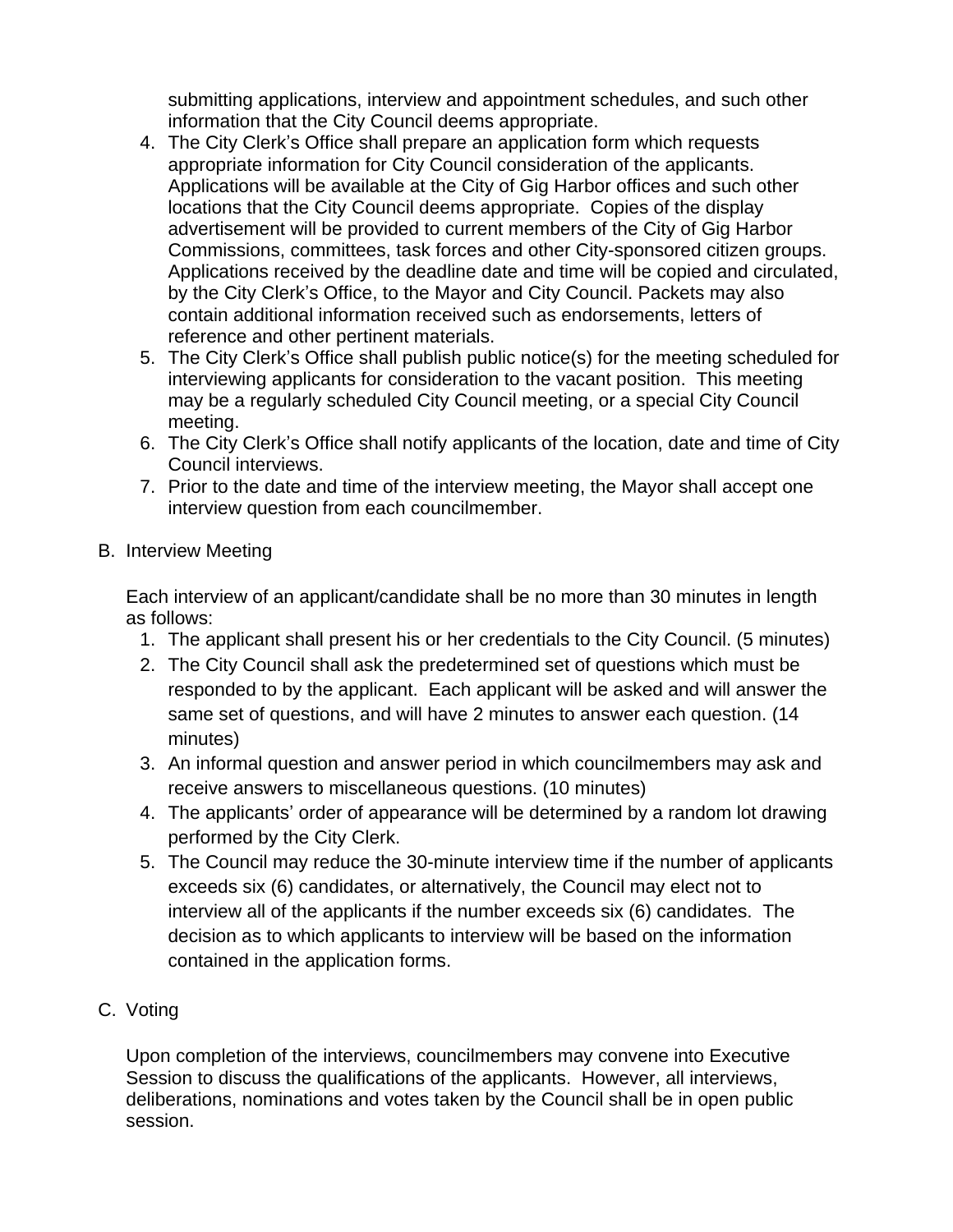submitting applications, interview and appointment schedules, and such other information that the City Council deems appropriate.

- 4. The City Clerk's Office shall prepare an application form which requests appropriate information for City Council consideration of the applicants. Applications will be available at the City of Gig Harbor offices and such other locations that the City Council deems appropriate. Copies of the display advertisement will be provided to current members of the City of Gig Harbor Commissions, committees, task forces and other City-sponsored citizen groups. Applications received by the deadline date and time will be copied and circulated, by the City Clerk's Office, to the Mayor and City Council. Packets may also contain additional information received such as endorsements, letters of reference and other pertinent materials.
- 5. The City Clerk's Office shall publish public notice(s) for the meeting scheduled for interviewing applicants for consideration to the vacant position. This meeting may be a regularly scheduled City Council meeting, or a special City Council meeting.
- 6. The City Clerk's Office shall notify applicants of the location, date and time of City Council interviews.
- 7. Prior to the date and time of the interview meeting, the Mayor shall accept one interview question from each councilmember.
- B. Interview Meeting

Each interview of an applicant/candidate shall be no more than 30 minutes in length as follows:

- 1. The applicant shall present his or her credentials to the City Council. (5 minutes)
- 2. The City Council shall ask the predetermined set of questions which must be responded to by the applicant. Each applicant will be asked and will answer the same set of questions, and will have 2 minutes to answer each question. (14 minutes)
- 3. An informal question and answer period in which councilmembers may ask and receive answers to miscellaneous questions. (10 minutes)
- 4. The applicants' order of appearance will be determined by a random lot drawing performed by the City Clerk.
- 5. The Council may reduce the 30-minute interview time if the number of applicants exceeds six (6) candidates, or alternatively, the Council may elect not to interview all of the applicants if the number exceeds six (6) candidates. The decision as to which applicants to interview will be based on the information contained in the application forms.
- C. Voting

Upon completion of the interviews, councilmembers may convene into Executive Session to discuss the qualifications of the applicants. However, all interviews, deliberations, nominations and votes taken by the Council shall be in open public session.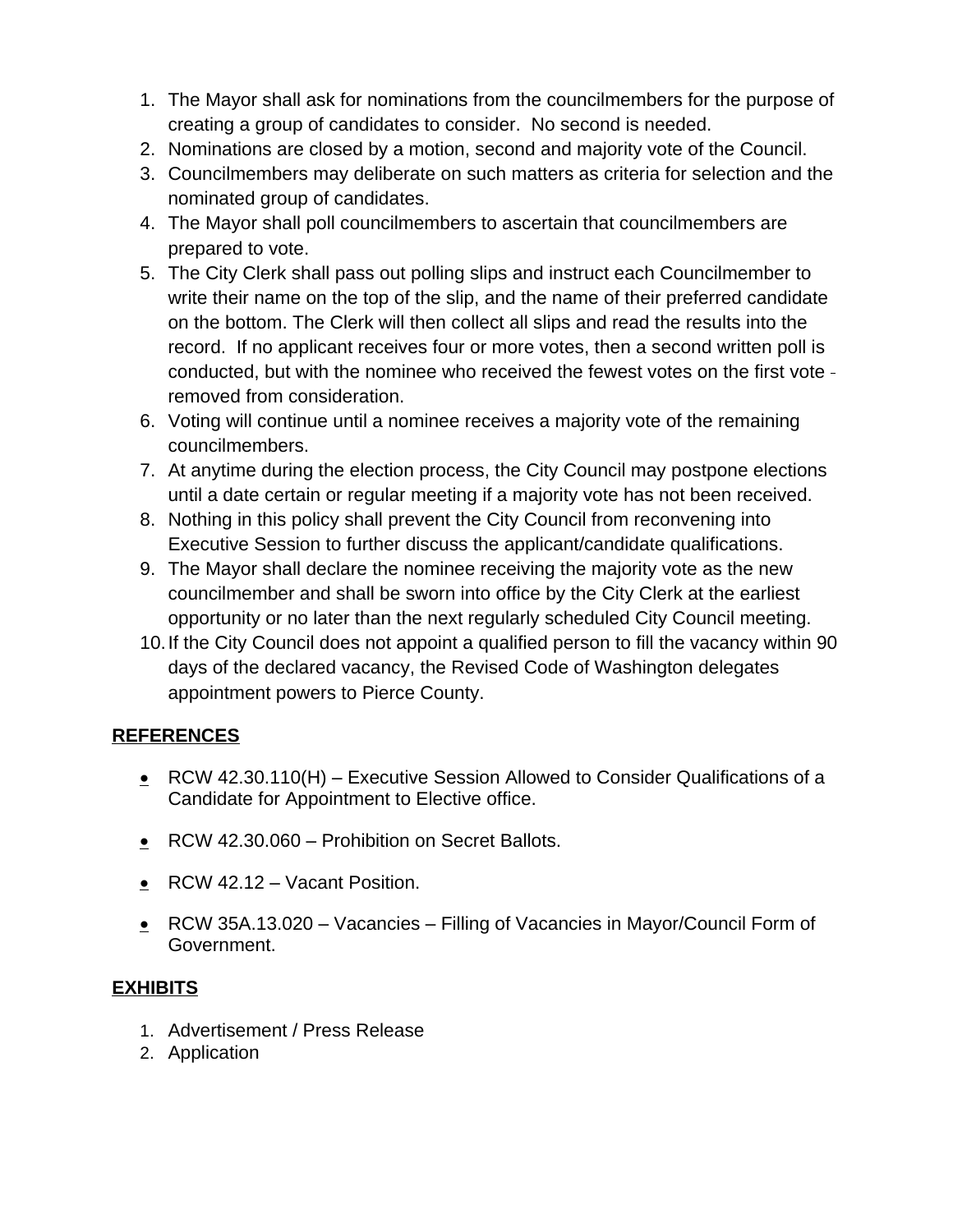- 1. The Mayor shall ask for nominations from the councilmembers for the purpose of creating a group of candidates to consider. No second is needed.
- 2. Nominations are closed by a motion, second and majority vote of the Council.
- 3. Councilmembers may deliberate on such matters as criteria for selection and the nominated group of candidates.
- 4. The Mayor shall poll councilmembers to ascertain that councilmembers are prepared to vote.
- 5. The City Clerk shall pass out polling slips and instruct each Councilmember to write their name on the top of the slip, and the name of their preferred candidate on the bottom. The Clerk will then collect all slips and read the results into the record. If no applicant receives four or more votes, then a second written poll is conducted, but with the nominee who received the fewest votes on the first vote removed from consideration.
- 6. Voting will continue until a nominee receives a majority vote of the remaining councilmembers.
- 7. At anytime during the election process, the City Council may postpone elections until a date certain or regular meeting if a majority vote has not been received.
- 8. Nothing in this policy shall prevent the City Council from reconvening into Executive Session to further discuss the applicant/candidate qualifications.
- 9. The Mayor shall declare the nominee receiving the majority vote as the new councilmember and shall be sworn into office by the City Clerk at the earliest opportunity or no later than the next regularly scheduled City Council meeting.
- 10.If the City Council does not appoint a qualified person to fill the vacancy within 90 days of the declared vacancy, the Revised Code of Washington delegates appointment powers to Pierce County.

# **REFERENCES**

- $\cdot$  RCW 42.30.110(H) Executive Session Allowed to Consider Qualifications of a Candidate for Appointment to Elective office.
- RCW 42.30.060 Prohibition on Secret Ballots.
- $\cdot$  RCW 42.12 Vacant Position.
- $\cdot$  RCW 35A.13.020 Vacancies Filling of Vacancies in Mayor/Council Form of Government.

# **EXHIBITS**

- 1. Advertisement / Press Release
- 2. Application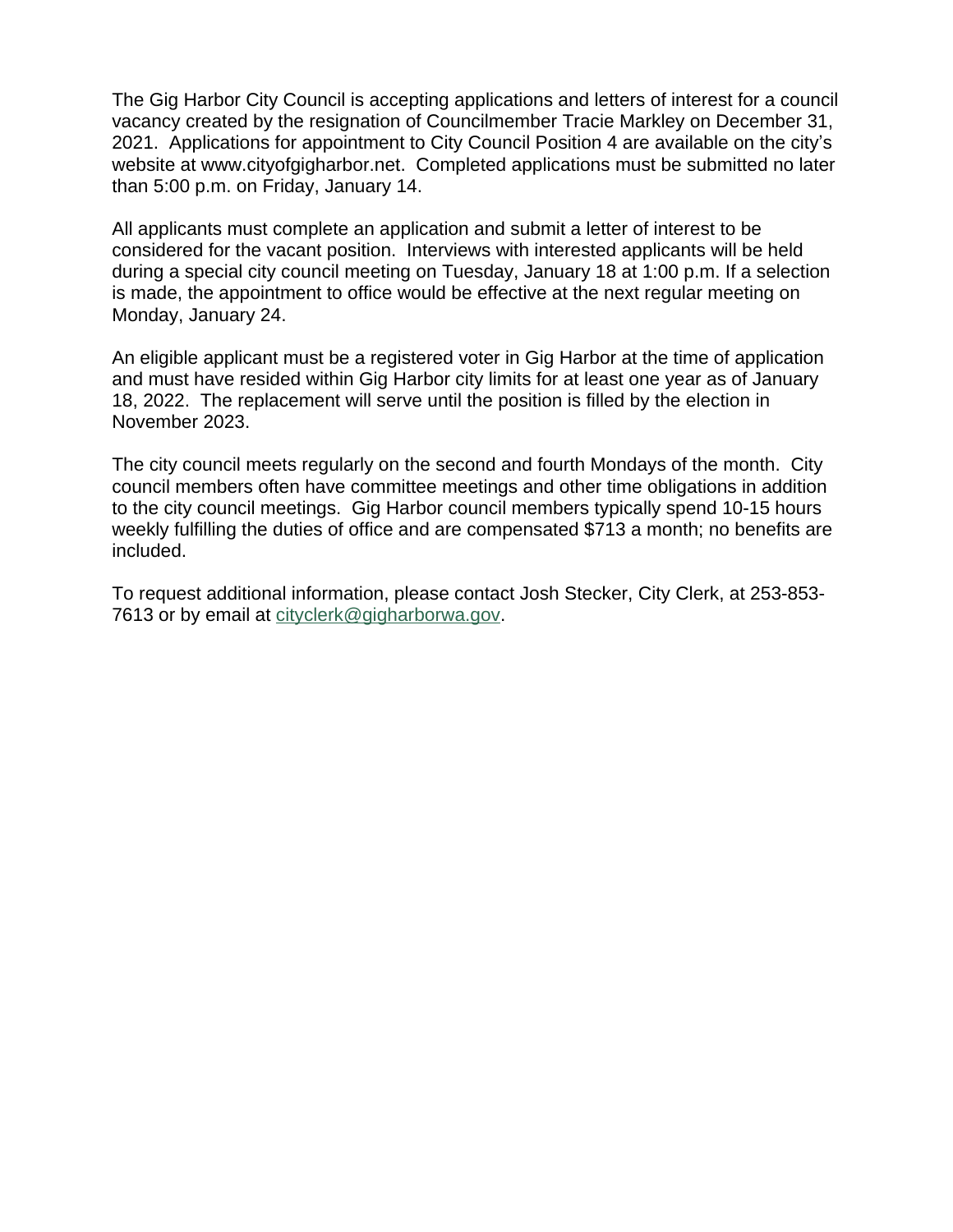The Gig Harbor City Council is accepting applications and letters of interest for a council vacancy created by the resignation of Councilmember Tracie Markley on December 31, 2021. Applications for appointment to City Council Position 4 are available on the city's website at [www.cityofgigharbor.net](http://www.cityofgigharbor.net). Completed applications must be submitted no later than 5:00 p.m. on Friday, January 14.

All applicants must complete an application and submit a letter of interest to be considered for the vacant position. Interviews with interested applicants will be held during a special city council meeting on Tuesday, January 18 at 1:00 p.m. If a selection is made, the appointment to office would be effective at the next regular meeting on Monday, January 24.

An eligible applicant must be a registered voter in Gig Harbor at the time of application and must have resided within Gig Harbor city limits for at least one year as of January 18, 2022. The replacement will serve until the position is filled by the election in November 2023.

The city council meets regularly on the second and fourth Mondays of the month. City council members often have committee meetings and other time obligations in addition to the city council meetings. Gig Harbor council members typically spend 10-15 hours weekly fulfilling the duties of office and are compensated \$713 a month; no benefits are included.

To request additional information, please contact Josh Stecker, City Clerk, at 253-853- 7613 or by email at [cityclerk@gigharborwa.gov.](mailto:cityclerk@gigharborwa.gov)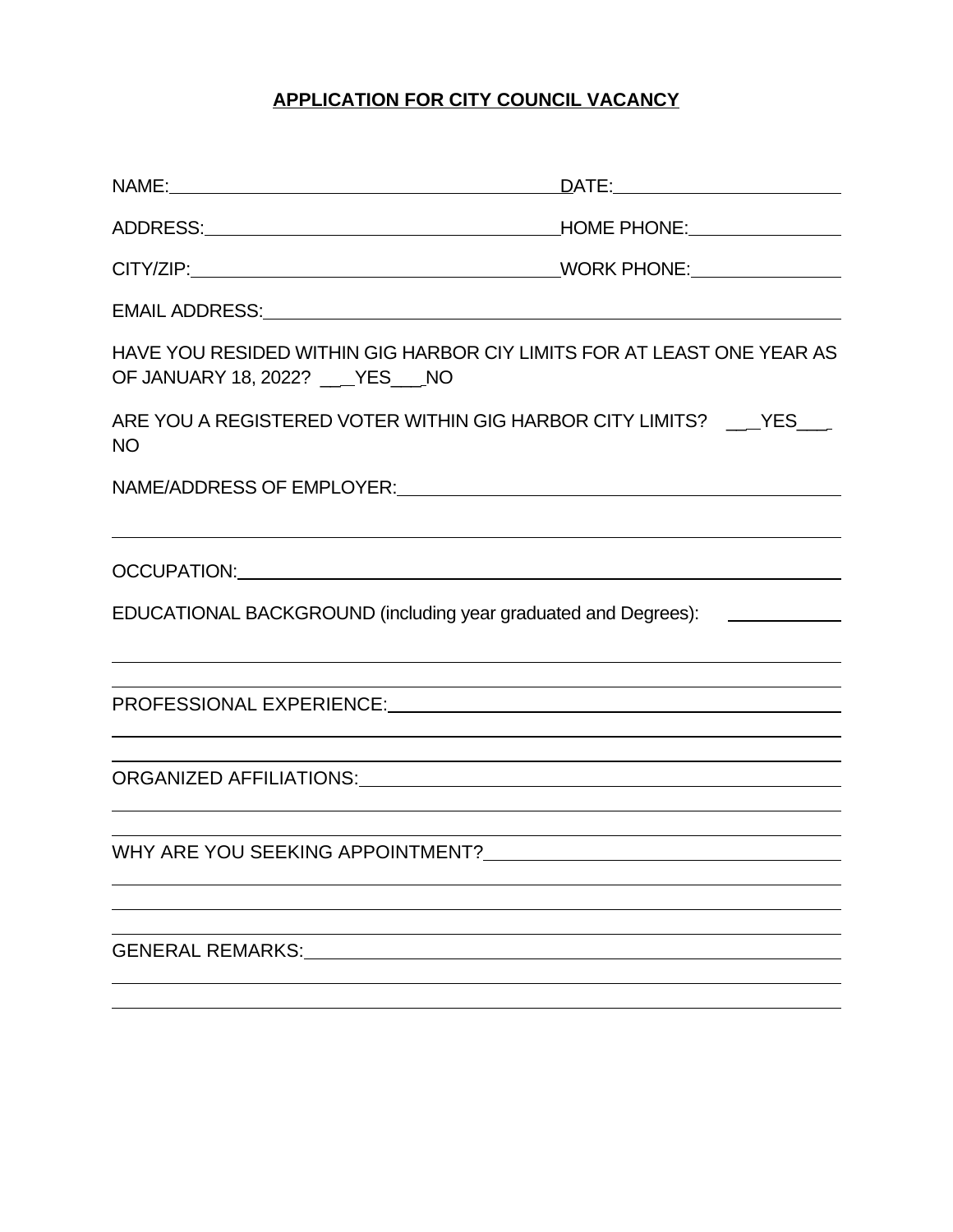# **APPLICATION FOR CITY COUNCIL VACANCY**

| OF JANUARY 18, 2022? ___YES___NO | HAVE YOU RESIDED WITHIN GIG HARBOR CIY LIMITS FOR AT LEAST ONE YEAR AS                          |
|----------------------------------|-------------------------------------------------------------------------------------------------|
| <b>NO</b>                        | ARE YOU A REGISTERED VOTER WITHIN GIG HARBOR CITY LIMITS? ___ YES___                            |
|                                  | NAME/ADDRESS OF EMPLOYER:                                                                       |
|                                  |                                                                                                 |
|                                  | EDUCATIONAL BACKGROUND (including year graduated and Degrees): _________________                |
|                                  | ,我们也不会有什么。""我们的人,我们也不会有什么?""我们的人,我们也不会有什么?""我们的人,我们也不会有什么?""我们的人,我们也不会有什么?""我们的人                |
|                                  | <u> 1989 - Johann Stoff, amerikansk politiker (d. 1989)</u>                                     |
|                                  | the contract of the contract of the contract of the contract of the contract of the contract of |
| <b>GENERAL REMARKS:</b>          |                                                                                                 |
|                                  |                                                                                                 |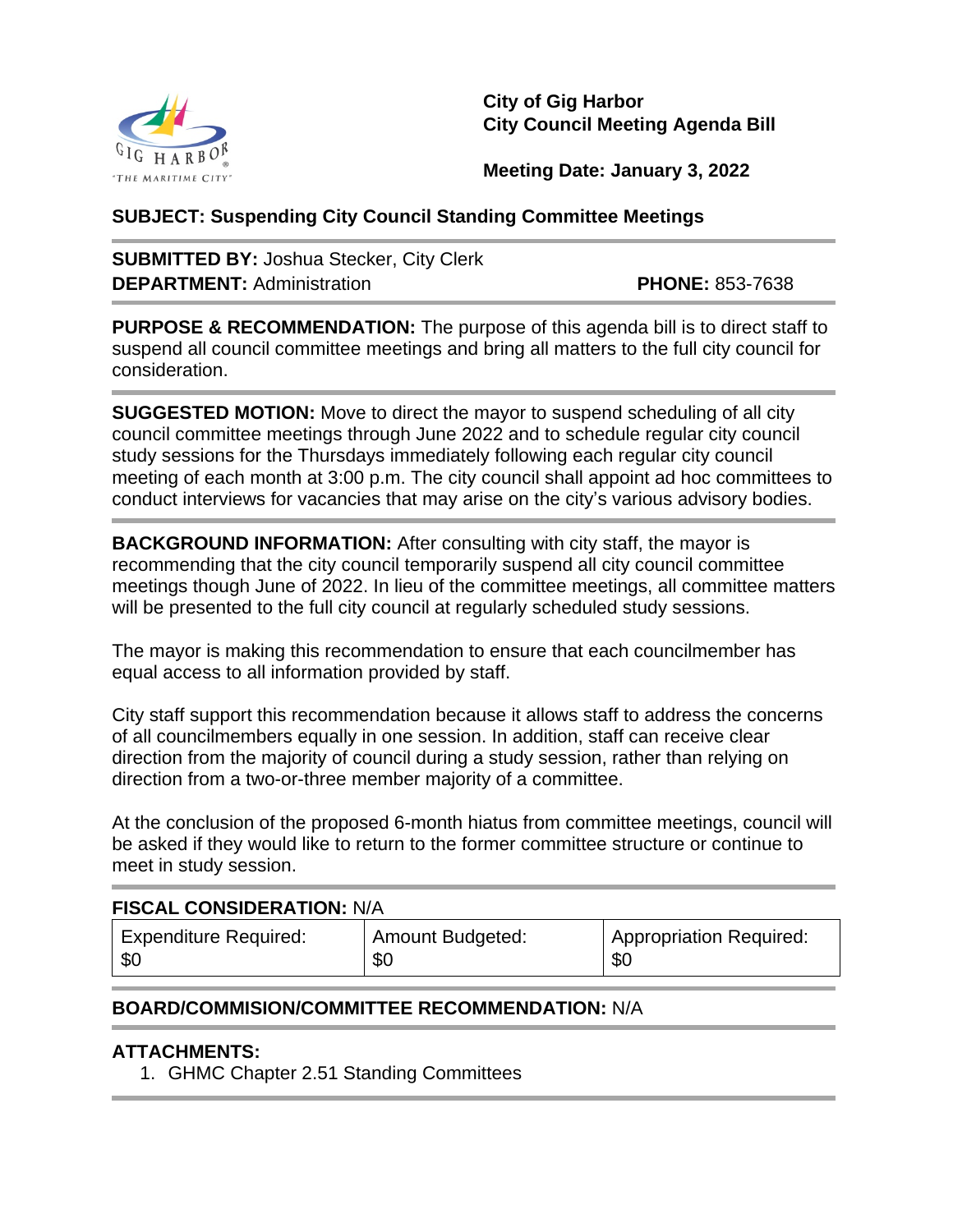

**City of Gig Harbor City Council Meeting Agenda Bill**

**Meeting Date: January 3, 2022**

## **SUBJECT: Suspending City Council Standing Committee Meetings**

**SUBMITTED BY:** Joshua Stecker, City Clerk **DEPARTMENT:** Administration **PHONE:** 853-7638

**PURPOSE & RECOMMENDATION:** The purpose of this agenda bill is to direct staff to suspend all council committee meetings and bring all matters to the full city council for consideration.

**SUGGESTED MOTION:** Move to direct the mayor to suspend scheduling of all city council committee meetings through June 2022 and to schedule regular city council study sessions for the Thursdays immediately following each regular city council meeting of each month at 3:00 p.m. The city council shall appoint ad hoc committees to conduct interviews for vacancies that may arise on the city's various advisory bodies.

**BACKGROUND INFORMATION:** After consulting with city staff, the mayor is recommending that the city council temporarily suspend all city council committee meetings though June of 2022. In lieu of the committee meetings, all committee matters will be presented to the full city council at regularly scheduled study sessions.

The mayor is making this recommendation to ensure that each councilmember has equal access to all information provided by staff.

City staff support this recommendation because it allows staff to address the concerns of all councilmembers equally in one session. In addition, staff can receive clear direction from the majority of council during a study session, rather than relying on direction from a two-or-three member majority of a committee.

At the conclusion of the proposed 6-month hiatus from committee meetings, council will be asked if they would like to return to the former committee structure or continue to meet in study session.

## **FISCAL CONSIDERATION:** N/A

| <b>Expenditure Required:</b> | Amount Budgeted: | <b>Appropriation Required:</b> |
|------------------------------|------------------|--------------------------------|
| \$0                          | \$0              | \$0                            |

## **BOARD/COMMISION/COMMITTEE RECOMMENDATION:** N/A

## **ATTACHMENTS:**

1. GHMC Chapter 2.51 Standing Committees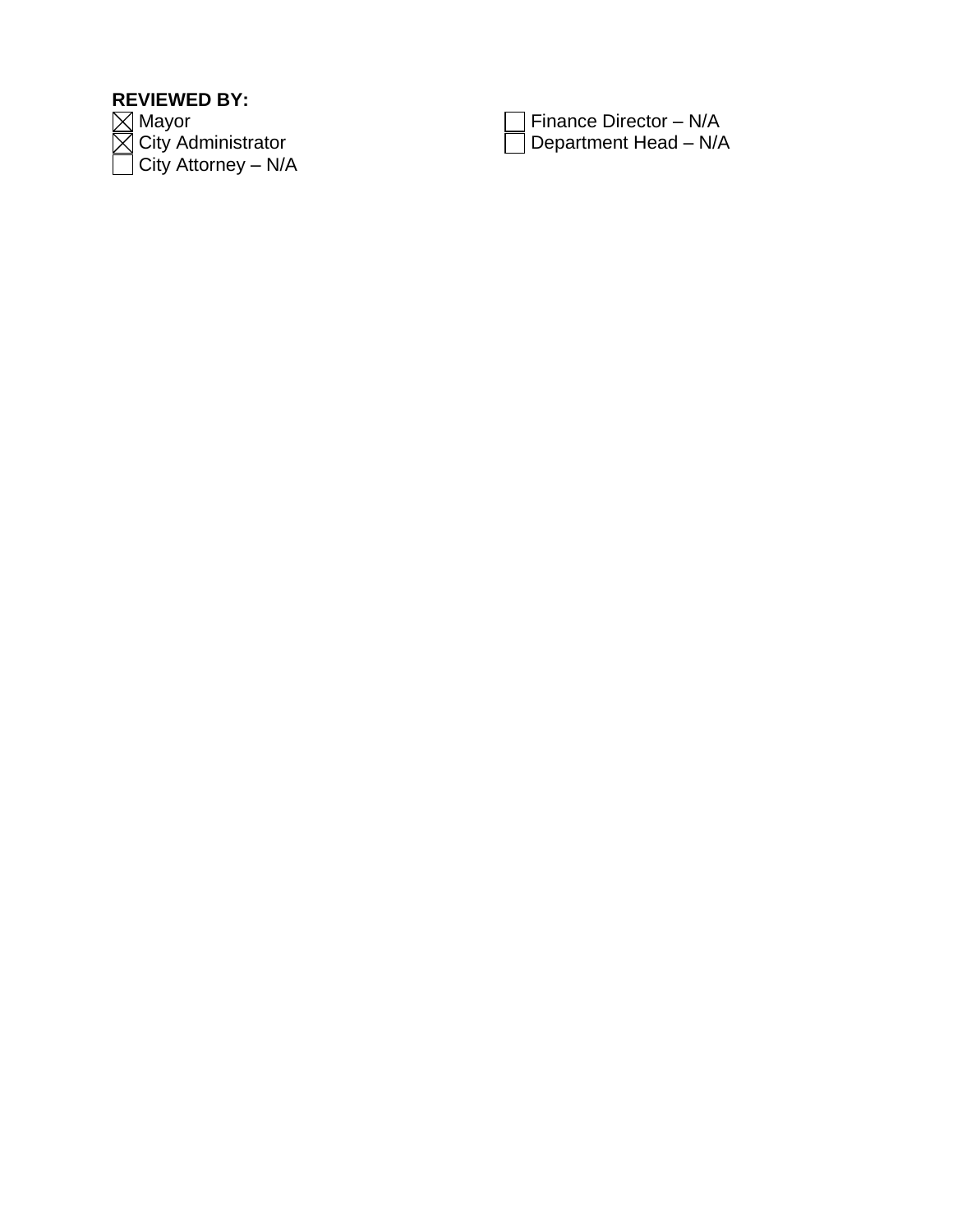# **REVIEWED BY:**

1ayor City Administrator  $\Box$  City Attorney – N/A

| $\Box$ Finance Director – N/A |
|-------------------------------|
| $\Box$ Department Head – N/A  |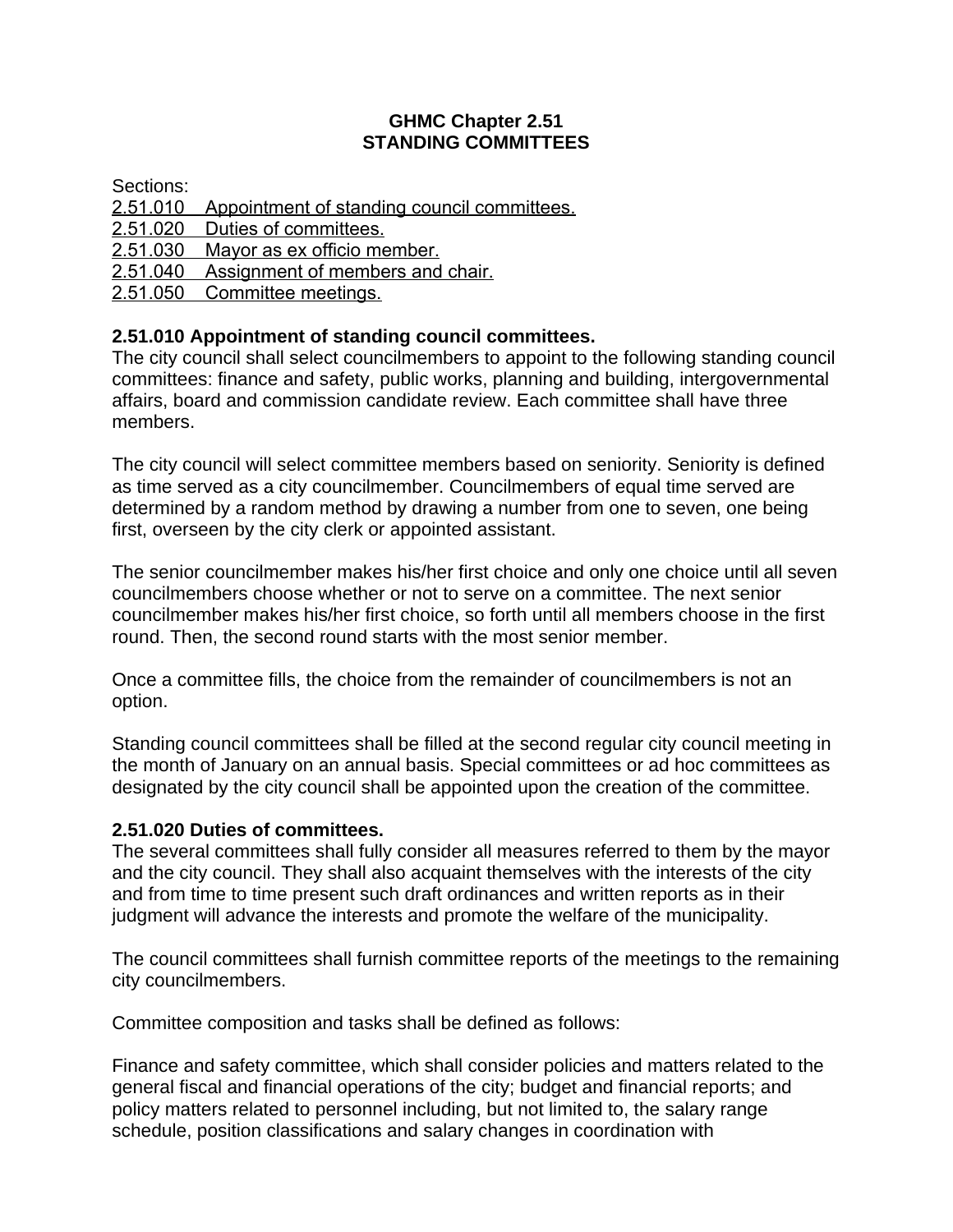## **GHMC Chapter 2.51 STANDING COMMITTEES**

Sections:

- [2.51.010 Appointment of standing council committees.](https://www.codepublishing.com/WA/GigHarbor/#!/GigHarbor02/GigHarbor0251.html#2.51.010)
- [2.51.020 Duties of committees.](https://www.codepublishing.com/WA/GigHarbor/#!/GigHarbor02/GigHarbor0251.html#2.51.020)
- [2.51.030 Mayor as ex officio member.](https://www.codepublishing.com/WA/GigHarbor/#!/GigHarbor02/GigHarbor0251.html#2.51.030)
- [2.51.040 Assignment of members and chair.](https://www.codepublishing.com/WA/GigHarbor/#!/GigHarbor02/GigHarbor0251.html#2.51.040)
- [2.51.050 Committee meetings.](https://www.codepublishing.com/WA/GigHarbor/#!/GigHarbor02/GigHarbor0251.html#2.51.050)

# **2.51.010 Appointment of standing council committees.**

The city council shall select councilmembers to appoint to the following standing council committees: finance and safety, public works, planning and building, intergovernmental affairs, board and commission candidate review. Each committee shall have three members.

The city council will select committee members based on seniority. Seniority is defined as time served as a city councilmember. Councilmembers of equal time served are determined by a random method by drawing a number from one to seven, one being first, overseen by the city clerk or appointed assistant.

The senior councilmember makes his/her first choice and only one choice until all seven councilmembers choose whether or not to serve on a committee. The next senior councilmember makes his/her first choice, so forth until all members choose in the first round. Then, the second round starts with the most senior member.

Once a committee fills, the choice from the remainder of councilmembers is not an option.

Standing council committees shall be filled at the second regular city council meeting in the month of January on an annual basis. Special committees or ad hoc committees as designated by the city council shall be appointed upon the creation of the committee.

# **2.51.020 Duties of committees.**

The several committees shall fully consider all measures referred to them by the mayor and the city council. They shall also acquaint themselves with the interests of the city and from time to time present such draft ordinances and written reports as in their judgment will advance the interests and promote the welfare of the municipality.

The council committees shall furnish committee reports of the meetings to the remaining city councilmembers.

Committee composition and tasks shall be defined as follows:

Finance and safety committee, which shall consider policies and matters related to the general fiscal and financial operations of the city; budget and financial reports; and policy matters related to personnel including, but not limited to, the salary range schedule, position classifications and salary changes in coordination with